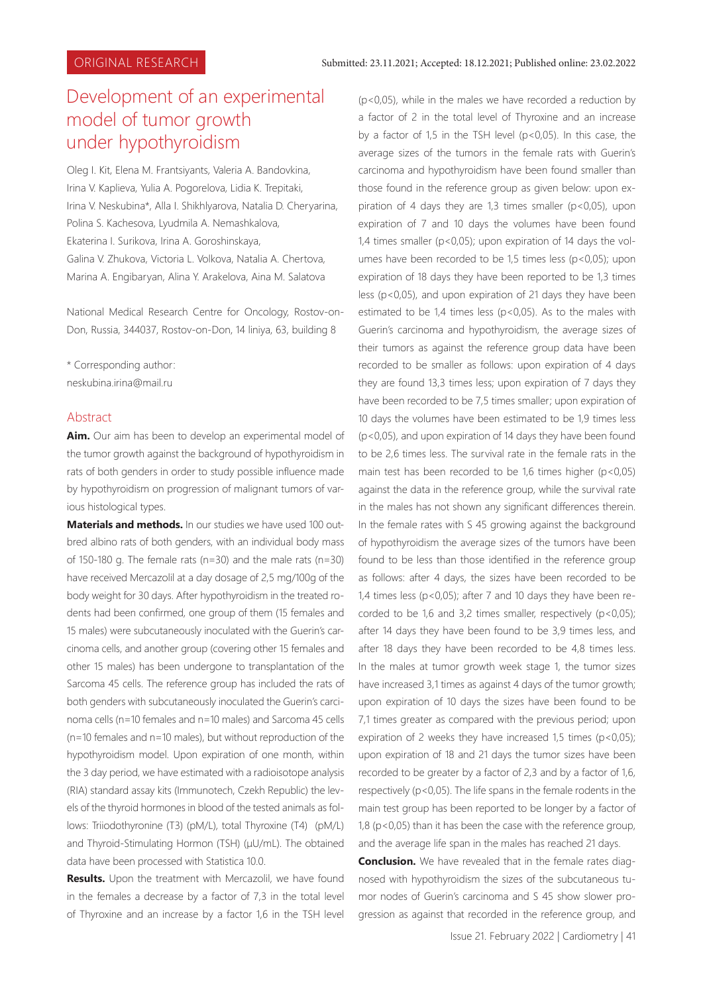# Development of an experimental model of tumor growth under hypothyroidism

Oleg I. Kit, Elena M. Frantsiyants, Valeria A. Bandovkina, Irina V. Kaplieva, Yulia A. Pogorelova, Lidia K. Trepitaki, Irina V. Neskubina\*, Alla I. Shikhlyarova, Natalia D. Cheryarina, Polina S. Kachesova, Lyudmila A. Nemashkalova, Ekaterina I. Surikova, Irina A. Goroshinskaya, Gаlina V. Zhukova, Victoria L. Volkova, Natalia A. Chertova, Marina A. Еngibaryan, Alina Y. Arakelova, Aina M. Salatova

National Medical Research Centre for Oncology, Rostov-on-Don, Russia, 344037, Rostov-on-Don, 14 liniya, 63, building 8

\* Corresponding author: neskubina.irina@mail.ru

#### Abstract

**Aim.** Our aim has been to develop an experimental model of the tumor growth against the background of hypothyroidism in rats of both genders in order to study possible influence made by hypothyroidism on progression of malignant tumors of various histological types.

**Materials and methods.** In our studies we have used 100 outbred albino rats of both genders, with an individual body mass of 150-180 g. The female rats (n=30) and the male rats (n=30) have received Mercazolil at a day dosage of 2,5 mg/100g of the body weight for 30 days. After hypothyroidism in the treated rodents had been confirmed, one group of them (15 females and 15 males) were subcutaneously inoculated with the Guerin's carcinoma cells, and another group (covering other 15 females and other 15 males) has been undergone to transplantation of the Sarcoma 45 cells. The reference group has included the rats of both genders with subcutaneously inoculated the Guerin's carcinoma cells (n=10 females and n=10 males) and Sarcoma 45 cells (n=10 females and n=10 males), but without reproduction of the hypothyroidism model. Upon expiration of one month, within the 3 day period, we have estimated with a radioisotope analysis (RIA) standard assay kits (Immunotech, Czekh Republic) the levels of the thyroid hormones in blood of the tested animals as follows: Triiodothyronine (T3) (pM/L), total Thyroxine (T4) (pM/L) and Thyroid-Stimulating Hormon (TSH) (μU/mL). The obtained data have been processed with Statistica 10.0.

**Results.** Upon the treatment with Mercazolil, we have found in the females a decrease by a factor of 7,3 in the total level of Thyroxine and an increase by a factor 1,6 in the TSH level

(p<0,05), while in the males we have recorded a reduction by a factor of 2 in the total level of Thyroxine and an increase by a factor of 1,5 in the TSH level (p<0,05). In this case, the average sizes of the tumors in the female rats with Guerin's carcinoma and hypothyroidism have been found smaller than those found in the reference group as given below: upon expiration of 4 days they are 1,3 times smaller (p<0,05), upon expiration of 7 and 10 days the volumes have been found 1,4 times smaller (p<0,05); upon expiration of 14 days the volumes have been recorded to be 1,5 times less (p<0,05); upon expiration of 18 days they have been reported to be 1,3 times less (p<0,05), and upon expiration of 21 days they have been estimated to be 1,4 times less (p<0,05). As to the males with Guerin's carcinoma and hypothyroidism, the average sizes of their tumors as against the reference group data have been recorded to be smaller as follows: upon expiration of 4 days they are found 13,3 times less; upon expiration of 7 days they have been recorded to be 7,5 times smaller; upon expiration of 10 days the volumes have been estimated to be 1,9 times less (p<0,05), and upon expiration of 14 days they have been found to be 2,6 times less. The survival rate in the female rats in the main test has been recorded to be 1,6 times higher (p<0,05) against the data in the reference group, while the survival rate in the males has not shown any significant differences therein. In the female rates with S 45 growing against the background of hypothyroidism the average sizes of the tumors have been found to be less than those identified in the reference group as follows: after 4 days, the sizes have been recorded to be 1,4 times less (p<0,05); after 7 and 10 days they have been recorded to be 1,6 and 3,2 times smaller, respectively (p<0,05); after 14 days they have been found to be 3,9 times less, and after 18 days they have been recorded to be 4,8 times less. In the males at tumor growth week stage 1, the tumor sizes have increased 3,1 times as against 4 days of the tumor growth; upon expiration of 10 days the sizes have been found to be 7,1 times greater as compared with the previous period; upon expiration of 2 weeks they have increased 1,5 times ( $p < 0.05$ ); upon expiration of 18 and 21 days the tumor sizes have been recorded to be greater by a factor of 2,3 and by a factor of 1,6, respectively (p<0,05). The life spans in the female rodents in the main test group has been reported to be longer by a factor of 1,8 (p<0,05) than it has been the case with the reference group, and the average life span in the males has reached 21 days.

**Conclusion.** We have revealed that in the female rates diagnosed with hypothyroidism the sizes of the subcutaneous tumor nodes of Guerin's carcinoma and S 45 show slower progression as against that recorded in the reference group, and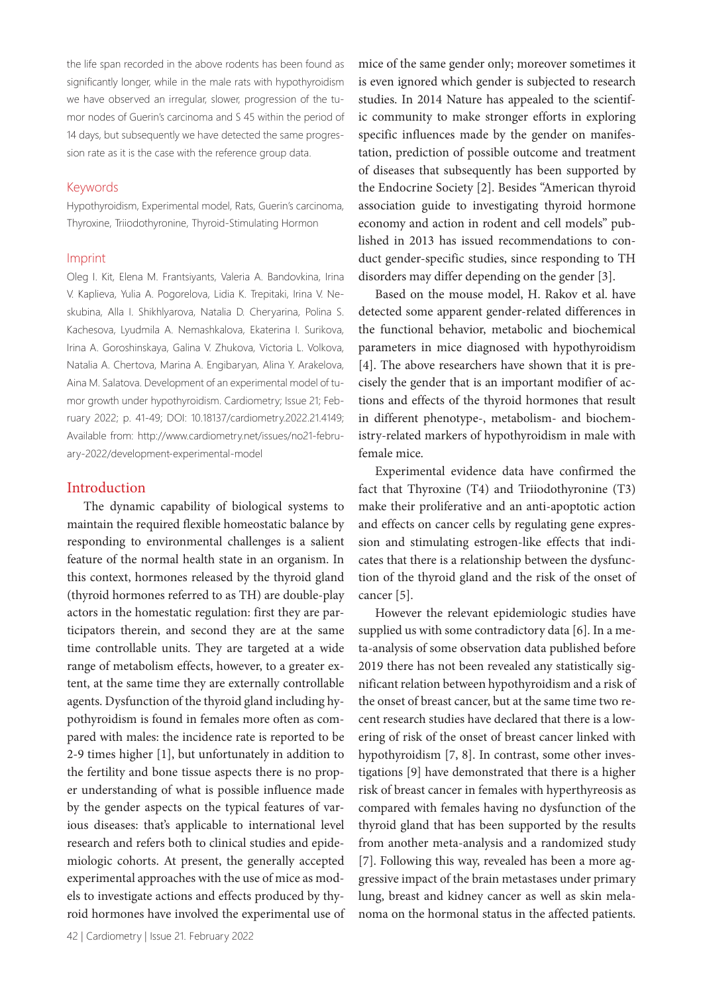the life span recorded in the above rodents has been found as significantly longer, while in the male rats with hypothyroidism we have observed an irregular, slower, progression of the tumor nodes of Guerin's carcinoma and S 45 within the period of 14 days, but subsequently we have detected the same progression rate as it is the case with the reference group data.

#### Keywords

Hypothyroidism, Experimental model, Rats, Guerin's carcinoma, Thyroxine, Triiodothyronine, Thyroid-Stimulating Hormon

#### Imprint

Oleg I. Kit, Elena M. Frantsiyants, Valeria A. Bandovkina, Irina V. Kaplieva, Yulia A. Pogorelova, Lidia K. Trepitaki, Irina V. Neskubina, Alla I. Shikhlyarova, Natalia D. Cheryarina, Polina S. Kachesova, Lyudmila A. Nemashkalova, Ekaterina I. Surikova, Irina A. Goroshinskaya, Gаlina V. Zhukova, Victoria L. Volkova, Natalia A. Chertova, Marina A. Еngibaryan, Alina Y. Arakelova, Aina M. Salatova. Development of an experimental model of tumor growth under hypothyroidism. Cardiometry; Issue 21; February 2022; p. 41-49; DOI: 10.18137/cardiometry.2022.21.4149; Available from: http://www.cardiometry.net/issues/no21-february-2022/development-experimental-model

## Introduction

The dynamic capability of biological systems to maintain the required flexible homeostatic balance by responding to environmental challenges is a salient feature of the normal health state in an organism. In this context, hormones released by the thyroid gland (thyroid hormones referred to as TH) are double-play actors in the homestatic regulation: first they are participators therein, and second they are at the same time controllable units. They are targeted at a wide range of metabolism effects, however, to a greater extent, at the same time they are externally controllable agents. Dysfunction of the thyroid gland including hypothyroidism is found in females more often as compared with males: the incidence rate is reported to be 2-9 times higher [1], but unfortunately in addition to the fertility and bone tissue aspects there is no proper understanding of what is possible influence made by the gender aspects on the typical features of various diseases: that's applicable to international level research and refers both to clinical studies and epidemiologic cohorts. At present, the generally accepted experimental approaches with the use of mice as models to investigate actions and effects produced by thyroid hormones have involved the experimental use of mice of the same gender only; moreover sometimes it is even ignored which gender is subjected to research studies. In 2014 Nature has appealed to the scientific community to make stronger efforts in exploring specific influences made by the gender on manifestation, prediction of possible outcome and treatment of diseases that subsequently has been supported by the Endocrine Society [2]. Besides "American thyroid association guide to investigating thyroid hormone economy and action in rodent and cell models" published in 2013 has issued recommendations to conduct gender-specific studies, since responding to TH disorders may differ depending on the gender [3].

Based on the mouse model, H. Rakov et al. have detected some apparent gender-related differences in the functional behavior, metabolic and biochemical parameters in mice diagnosed with hypothyroidism [4]. The above researchers have shown that it is precisely the gender that is an important modifier of actions and effects of the thyroid hormones that result in different phenotype-, metabolism- and biochemistry-related markers of hypothyroidism in male with female mice.

Experimental evidence data have confirmed the fact that Thyroxine (T4) and Triiodothyronine (T3) make their proliferative and an anti-apoptotic action and effects on cancer cells by regulating gene expression and stimulating estrogen-like effects that indicates that there is a relationship between the dysfunction of the thyroid gland and the risk of the onset of cancer [5].

However the relevant epidemiologic studies have supplied us with some contradictory data [6]. In a meta-analysis of some observation data published before 2019 there has not been revealed any statistically significant relation between hypothyroidism and a risk of the onset of breast cancer, but at the same time two recent research studies have declared that there is a lowering of risk of the onset of breast cancer linked with hypothyroidism [7, 8]. In contrast, some other investigations [9] have demonstrated that there is a higher risk of breast cancer in females with hyperthyreosis as compared with females having no dysfunction of the thyroid gland that has been supported by the results from another meta-analysis and a randomized study [7]. Following this way, revealed has been a more aggressive impact of the brain metastases under primary lung, breast and kidney cancer as well as skin melanoma on the hormonal status in the affected patients.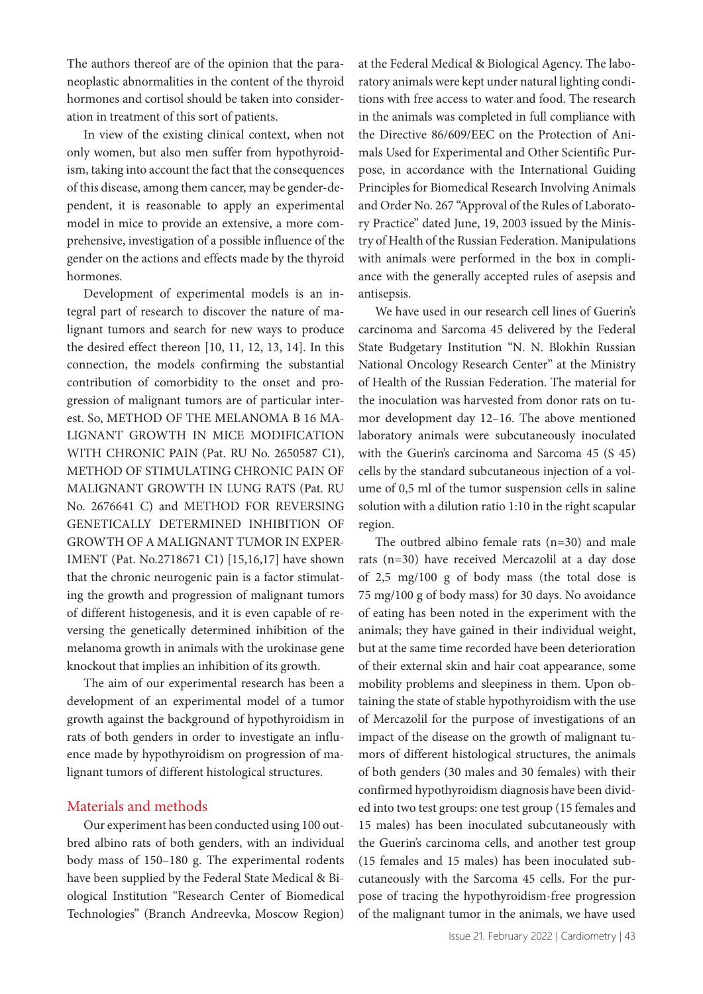The authors thereof are of the opinion that the paraneoplastic abnormalities in the content of the thyroid hormones and cortisol should be taken into consideration in treatment of this sort of patients.

In view of the existing clinical context, when not only women, but also men suffer from hypothyroidism, taking into account the fact that the consequences of this disease, among them cancer, may be gender-dependent, it is reasonable to apply an experimental model in mice to provide an extensive, a more comprehensive, investigation of a possible influence of the gender on the actions and effects made by the thyroid hormones.

Development of experimental models is an integral part of research to discover the nature of malignant tumors and search for new ways to produce the desired effect thereon [10, 11, 12, 13, 14]. In this connection, the models confirming the substantial contribution of comorbidity to the onset and progression of malignant tumors are of particular interest. So, METHOD OF THE MELANOMA B 16 MA-LIGNANT GROWTH IN MICE MODIFICATION WITH CHRONIC PAIN (Pat. RU No. 2650587 C1), METHOD OF STIMULATING CHRONIC PAIN OF MALIGNANT GROWTH IN LUNG RATS (Pat. RU No. 2676641 С) and METHOD FOR REVERSING GENETICALLY DETERMINED INHIBITION OF GROWTH OF A MALIGNANT TUMOR IN EXPER-IMENT (Pаt. No.2718671 С1) [15,16,17] have shown that the chronic neurogenic pain is a factor stimulating the growth and progression of malignant tumors of different histogenesis, and it is even capable of reversing the genetically determined inhibition of the melanoma growth in animals with the urokinase gene knockout that implies an inhibition of its growth.

The aim of our experimental research has been a development of an experimental model of a tumor growth against the background of hypothyroidism in rats of both genders in order to investigate an influence made by hypothyroidism on progression of malignant tumors of different histological structures.

# Materials and methods

Our experiment has been conducted using 100 outbred albino rats of both genders, with an individual body mass of 150–180 g. The experimental rodents have been supplied by the Federal State Medical & Biological Institution "Research Center of Biomedical Technologies" (Branch Andreevka, Moscow Region)

at the Federal Medical & Biological Agency. The laboratory animals were kept under natural lighting conditions with free access to water and food. The research in the animals was completed in full compliance with the Directive 86/609/EEC on the Protection of Animals Used for Experimental and Other Scientific Purpose, in accordance with the International Guiding Principles for Biomedical Research Involving Animals and Order No. 267 "Approval of the Rules of Laboratory Practice" dated June, 19, 2003 issued by the Ministry of Health of the Russian Federation. Manipulations with animals were performed in the box in compliance with the generally accepted rules of asepsis and antisepsis.

We have used in our research cell lines of Guerin's carcinoma and Sarcoma 45 delivered by the Federal State Budgetary Institution "N. N. Blokhin Russian National Oncology Research Center" at the Ministry of Health of the Russian Federation. The material for the inoculation was harvested from donor rats on tumor development day 12–16. The above mentioned laboratory animals were subcutaneously inoculated with the Guerin's carcinoma and Sarcoma 45 (S 45) cells by the standard subcutaneous injection of a volume of 0,5 ml of the tumor suspension cells in saline solution with a dilution ratio 1:10 in the right scapular region.

The outbred albino female rats (n=30) and male rats (n=30) have received Mercazolil at a day dose of 2,5 mg/100 g of body mass (the total dose is 75 mg/100 g of body mass) for 30 days. No avoidance of eating has been noted in the experiment with the animals; they have gained in their individual weight, but at the same time recorded have been deterioration of their external skin and hair coat appearance, some mobility problems and sleepiness in them. Upon obtaining the state of stable hypothyroidism with the use of Mercazolil for the purpose of investigations of an impact of the disease on the growth of malignant tumors of different histological structures, the animals of both genders (30 males and 30 females) with their confirmed hypothyroidism diagnosis have been divided into two test groups: one test group (15 females and 15 males) has been inoculated subcutaneously with the Guerin's carcinoma cells, and another test group (15 females and 15 males) has been inoculated subcutaneously with the Sarcoma 45 cells. For the purpose of tracing the hypothyroidism-free progression of the malignant tumor in the animals, we have used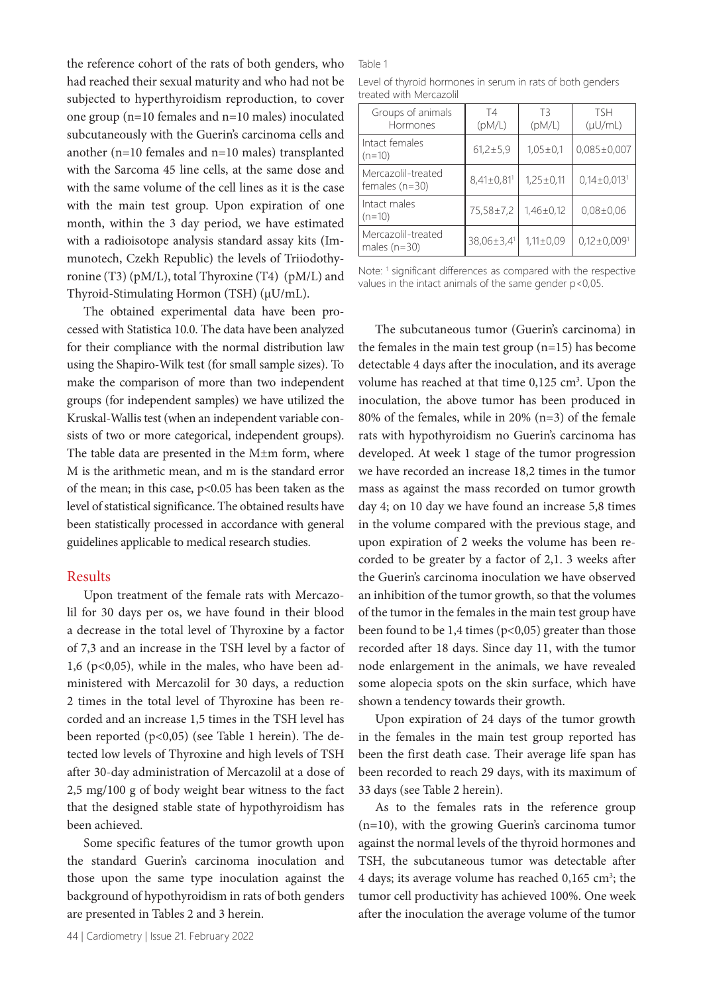the reference cohort of the rats of both genders, who had reached their sexual maturity and who had not be subjected to hyperthyroidism reproduction, to cover one group (n=10 females and n=10 males) inoculated subcutaneously with the Guerin's carcinoma cells and another (n=10 females and n=10 males) transplanted with the Sarcoma 45 line cells, at the same dose and with the same volume of the cell lines as it is the case with the main test group. Upon expiration of one month, within the 3 day period, we have estimated with a radioisotope analysis standard assay kits (Immunotech, Czekh Republic) the levels of Triiodothyronine (T3) (pM/L), total Thyroxine (T4) (pM/L) and Thyroid-Stimulating Hormon (TSH) (μU/mL).

The obtained experimental data have been processed with Statistica 10.0. The data have been analyzed for their compliance with the normal distribution law using the Shapiro-Wilk test (for small sample sizes). To make the comparison of more than two independent groups (for independent samples) we have utilized the Kruskal-Wallis test (when an independent variable consists of two or more categorical, independent groups). The table data are presented in the M±m form, where M is the arithmetic mean, and m is the standard error of the mean; in this case, p<0.05 has been taken as the level of statistical significance. The obtained results have been statistically processed in accordance with general guidelines applicable to medical research studies.

## Results

Upon treatment of the female rats with Mercazolil for 30 days per os, we have found in their blood a decrease in the total level of Thyroxine by a factor of 7,3 and an increase in the TSH level by a factor of 1,6 ( $p<0,05$ ), while in the males, who have been administered with Mercazolil for 30 days, a reduction 2 times in the total level of Thyroxine has been recorded and an increase 1,5 times in the TSH level has been reported (p<0,05) (see Table 1 herein). The detected low levels of Thyroxine and high levels of TSH after 30-day administration of Mercazolil at a dose of 2,5 mg/100 g of body weight bear witness to the fact that the designed stable state of hypothyroidism has been achieved.

Some specific features of the tumor growth upon the standard Guerin's carcinoma inoculation and those upon the same type inoculation against the background of hypothyroidism in rats of both genders are presented in Tables 2 and 3 herein.

#### Table 1

Level of thyroid hormones in serum in rats of both genders treated with Mercazolil

| Groups of animals<br>Hormones          | T4<br>(pM/L)               | TЗ<br>(pM/L)   | <b>TSH</b><br>$(\mu U/mL)$    |
|----------------------------------------|----------------------------|----------------|-------------------------------|
| Intact females<br>$(n=10)$             | $61,2 \pm 5,9$             | $1,05 \pm 0,1$ | $0,085\pm0,007$               |
| Mercazolil-treated<br>females $(n=30)$ | $8,41\pm0,81$ <sup>1</sup> | $1,25\pm0,11$  | $0.14 \pm 0.013$ <sup>1</sup> |
| Intact males<br>$(n=10)$               | 75,58±7,2                  | $1,46\pm0,12$  | $0.08 \pm 0.06$               |
| Mercazolil-treated<br>males $(n=30)$   | 38,06±3,4 <sup>1</sup>     | $1,11\pm0,09$  | $0.12 \pm 0.009$ <sup>1</sup> |

Note: <sup>1</sup> significant differences as compared with the respective values in the intact animals of the same gender p<0,05.

The subcutaneous tumor (Guerin's carcinoma) in the females in the main test group  $(n=15)$  has become detectable 4 days after the inoculation, and its average volume has reached at that time 0,125 cm<sup>3</sup>. Upon the inoculation, the above tumor has been produced in 80% of the females, while in 20% (n=3) of the female rats with hypothyroidism no Guerin's carcinoma has developed. At week 1 stage of the tumor progression we have recorded an increase 18,2 times in the tumor mass as against the mass recorded on tumor growth day 4; on 10 day we have found an increase 5,8 times in the volume compared with the previous stage, and upon expiration of 2 weeks the volume has been recorded to be greater by a factor of 2,1. 3 weeks after the Guerin's carcinoma inoculation we have observed an inhibition of the tumor growth, so that the volumes of the tumor in the females in the main test group have been found to be 1,4 times ( $p<0,05$ ) greater than those recorded after 18 days. Since day 11, with the tumor node enlargement in the animals, we have revealed some alopecia spots on the skin surface, which have shown a tendency towards their growth.

Upon expiration of 24 days of the tumor growth in the females in the main test group reported has been the first death case. Their average life span has been recorded to reach 29 days, with its maximum of 33 days (see Table 2 herein).

As to the females rats in the reference group (n=10), with the growing Guerin's carcinoma tumor against the normal levels of the thyroid hormones and TSH, the subcutaneous tumor was detectable after 4 days; its average volume has reached 0,165 cm<sup>3</sup>; the tumor cell productivity has achieved 100%. One week after the inoculation the average volume of the tumor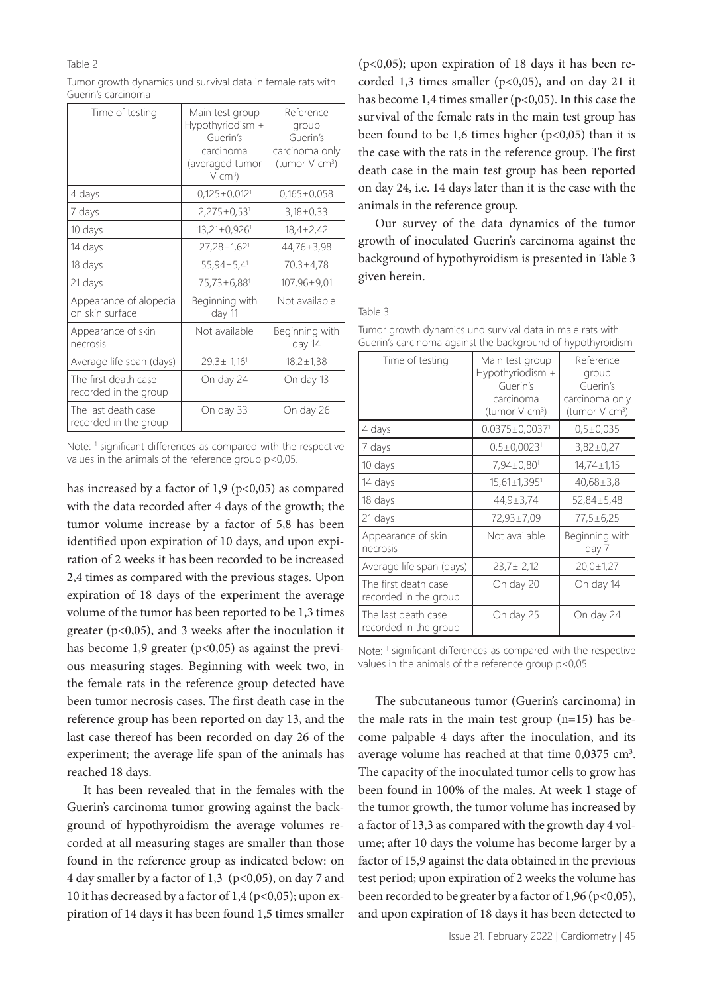#### Table 2

| Tumor growth dynamics und survival data in female rats with |  |
|-------------------------------------------------------------|--|
| Guerin's carcinoma                                          |  |

| Time of testing                               | Main test group<br>Hypothyriodism +<br>Guerin's<br>carcinoma<br>(averaged tumor<br>$V$ cm <sup>3</sup> ) | Reference<br>group<br>Guerin's<br>carcinoma only<br>(tumor V cm <sup>3</sup> ) |  |
|-----------------------------------------------|----------------------------------------------------------------------------------------------------------|--------------------------------------------------------------------------------|--|
| 4 days                                        | $0,125\pm0,012$ <sup>1</sup>                                                                             | $0,165\pm0,058$                                                                |  |
| 7 days                                        | $2,275\pm0.53$ <sup>1</sup>                                                                              | $3,18\pm0,33$                                                                  |  |
| 10 days                                       | 13,21±0,926 <sup>1</sup>                                                                                 | $18,4 \pm 2,42$                                                                |  |
| 14 days                                       | 27,28±1,62 <sup>1</sup>                                                                                  | 44,76±3,98                                                                     |  |
| 18 days                                       | $55,94 \pm 5,4$ <sup>1</sup>                                                                             | 70,3±4,78                                                                      |  |
| 21 days                                       | 75,73±6,88 <sup>1</sup>                                                                                  | $107,96 \pm 9,01$                                                              |  |
| Appearance of alopecia<br>on skin surface     | Beginning with<br>day 11                                                                                 | Not available                                                                  |  |
| Appearance of skin<br>necrosis                | Not available                                                                                            | Beginning with<br>day 14                                                       |  |
| Average life span (days)                      | $29.3 \pm 1.16$ <sup>1</sup>                                                                             | $18,2 \pm 1,38$                                                                |  |
| The first death case<br>recorded in the group | On day 24                                                                                                | On day 13                                                                      |  |
| The last death case<br>recorded in the group  | On day 33                                                                                                | On day 26                                                                      |  |

Note: <sup>1</sup> significant differences as compared with the respective values in the animals of the reference group p<0,05.

has increased by a factor of 1,9 ( $p$ <0,05) as compared with the data recorded after 4 days of the growth; the tumor volume increase by a factor of 5,8 has been identified upon expiration of 10 days, and upon expiration of 2 weeks it has been recorded to be increased 2,4 times as compared with the previous stages. Upon expiration of 18 days of the experiment the average volume of the tumor has been reported to be 1,3 times greater ( $p<0,05$ ), and 3 weeks after the inoculation it has become 1,9 greater ( $p<0,05$ ) as against the previous measuring stages. Beginning with week two, in the female rats in the reference group detected have been tumor necrosis cases. The first death case in the reference group has been reported on day 13, and the last case thereof has been recorded on day 26 of the experiment; the average life span of the animals has reached 18 days.

It has been revealed that in the females with the Guerin's carcinoma tumor growing against the background of hypothyroidism the average volumes recorded at all measuring stages are smaller than those found in the reference group as indicated below: on 4 day smaller by a factor of 1,3 (p<0,05), on day 7 and 10 it has decreased by a factor of 1,4 ( $p<0,05$ ); upon expiration of 14 days it has been found 1,5 times smaller

 $(p<0,05)$ ; upon expiration of 18 days it has been recorded 1,3 times smaller ( $p<0,05$ ), and on day 21 it has become 1,4 times smaller (p<0,05). In this case the survival of the female rats in the main test group has been found to be 1,6 times higher  $(p<0,05)$  than it is the case with the rats in the reference group. The first death case in the main test group has been reported on day 24, i.e. 14 days later than it is the case with the animals in the reference group.

Our survey of the data dynamics of the tumor growth of inoculated Guerin's carcinoma against the background of hypothyroidism is presented in Table 3 given herein.

Table 3

| Time of testing                               | Main test group<br>Hypothyriodism +<br>Guerin's<br>carcinoma<br>(tumor V cm <sup>3</sup> ) | Reference<br>group<br>Guerin's<br>carcinoma only<br>(tumor V cm <sup>3</sup> ) |
|-----------------------------------------------|--------------------------------------------------------------------------------------------|--------------------------------------------------------------------------------|
| 4 days                                        | $0.0375 \pm 0.0037$ <sup>1</sup>                                                           | $0.5 \pm 0.035$                                                                |
| 7 days                                        | $0,5\pm0,0023$ <sup>1</sup>                                                                | 3,82±0,27                                                                      |
| 10 days                                       | $7,94\pm0,80$ <sup>1</sup>                                                                 | $14,74 \pm 1,15$                                                               |
| 14 days                                       | $15,61\pm1,395$ <sup>1</sup>                                                               | $40,68 \pm 3,8$                                                                |
| 18 days                                       | 44,9±3,74                                                                                  | $52,84 \pm 5,48$                                                               |
| 21 days                                       | 72,93±7,09                                                                                 | 77,5±6,25                                                                      |
| Appearance of skin<br>necrosis                | Not available                                                                              | Beginning with<br>day 7                                                        |
| Average life span (days)                      | $23,7 \pm 2,12$                                                                            | $20.0 \pm 1.27$                                                                |
| The first death case<br>recorded in the group | On day 20                                                                                  | On day 14                                                                      |
| The last death case<br>recorded in the group  | On day 25                                                                                  | On day 24                                                                      |
|                                               |                                                                                            |                                                                                |

Tumor growth dynamics und survival data in male rats with Guerin's carcinoma against the background of hypothyroidism

Note: <sup>1</sup> significant differences as compared with the respective values in the animals of the reference group p<0,05.

The subcutaneous tumor (Guerin's carcinoma) in the male rats in the main test group (n=15) has become palpable 4 days after the inoculation, and its average volume has reached at that time  $0.0375 \text{ cm}^3$ . The capacity of the inoculated tumor cells to grow has been found in 100% of the males. At week 1 stage of the tumor growth, the tumor volume has increased by a factor of 13,3 as compared with the growth day 4 volume; after 10 days the volume has become larger by a factor of 15,9 against the data obtained in the previous test period; upon expiration of 2 weeks the volume has been recorded to be greater by a factor of 1,96 (p<0,05), and upon expiration of 18 days it has been detected to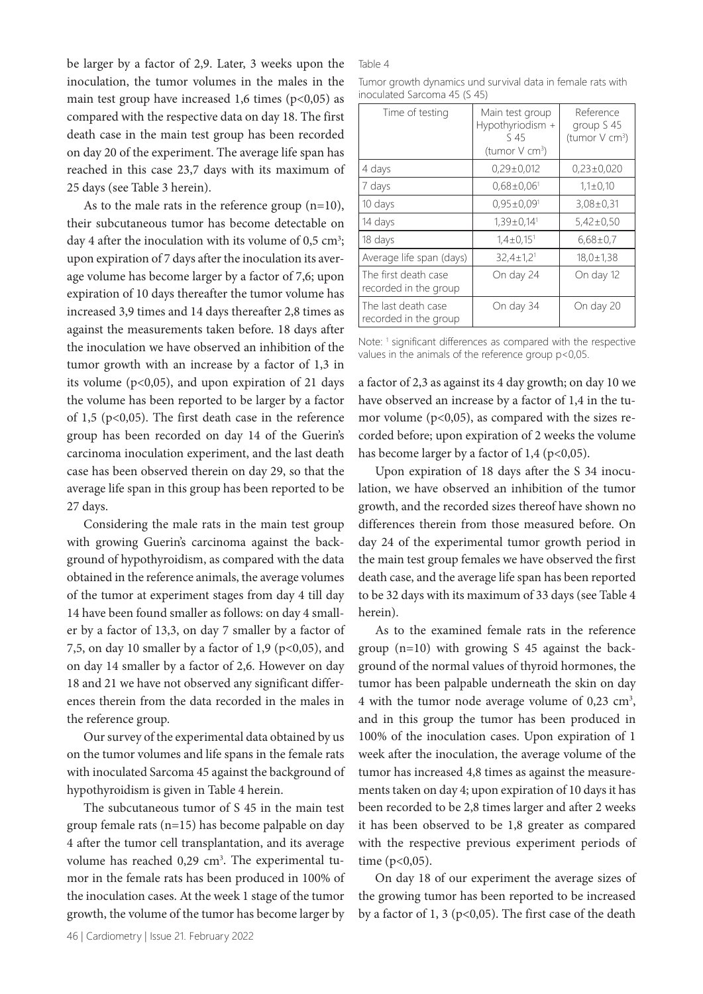be larger by a factor of 2,9. Later, 3 weeks upon the inoculation, the tumor volumes in the males in the main test group have increased 1,6 times  $(p<0,05)$  as compared with the respective data on day 18. The first death case in the main test group has been recorded on day 20 of the experiment. The average life span has reached in this case 23,7 days with its maximum of 25 days (see Table 3 herein).

As to the male rats in the reference group  $(n=10)$ , their subcutaneous tumor has become detectable on day 4 after the inoculation with its volume of  $0.5 \text{ cm}^3$ ; upon expiration of 7 days after the inoculation its average volume has become larger by a factor of 7,6; upon expiration of 10 days thereafter the tumor volume has increased 3,9 times and 14 days thereafter 2,8 times as against the measurements taken before. 18 days after the inoculation we have observed an inhibition of the tumor growth with an increase by a factor of 1,3 in its volume ( $p<0,05$ ), and upon expiration of 21 days the volume has been reported to be larger by a factor of 1,5 (p<0,05). The first death case in the reference group has been recorded on day 14 of the Guerin's carcinoma inoculation experiment, and the last death case has been observed therein on day 29, so that the average life span in this group has been reported to be 27 days.

Considering the male rats in the main test group with growing Guerin's carcinoma against the background of hypothyroidism, as compared with the data obtained in the reference animals, the average volumes of the tumor at experiment stages from day 4 till day 14 have been found smaller as follows: on day 4 smaller by a factor of 13,3, on day 7 smaller by a factor of 7,5, on day 10 smaller by a factor of 1,9 ( $p$ <0,05), and on day 14 smaller by a factor of 2,6. However on day 18 and 21 we have not observed any significant differences therein from the data recorded in the males in the reference group.

Our survey of the experimental data obtained by us on the tumor volumes and life spans in the female rats with inoculated Sarcoma 45 against the background of hypothyroidism is given in Table 4 herein.

The subcutaneous tumor of S 45 in the main test group female rats (n=15) has become palpable on day 4 after the tumor cell transplantation, and its average volume has reached 0,29 cm<sup>3</sup>. The experimental tumor in the female rats has been produced in 100% of the inoculation cases. At the week 1 stage of the tumor growth, the volume of the tumor has become larger by

#### Table 4

Tumor growth dynamics und survival data in female rats with inoculated Sarcoma 45 (S 45)

| Time of testing                               | Main test group<br>Hypothyriodism +<br>S 45<br>(tumor V cm <sup>3</sup> ) | Reference<br>group S 45<br>(tumor V cm <sup>3</sup> ) |
|-----------------------------------------------|---------------------------------------------------------------------------|-------------------------------------------------------|
| 4 days                                        | $0.29 \pm 0.012$                                                          | $0.23 \pm 0.020$                                      |
| 7 days                                        | $0.68 \pm 0.06$ <sup>1</sup>                                              | $1,1 \pm 0,10$                                        |
| 10 days                                       | $0.95 \pm 0.09$ <sup>1</sup>                                              | $3,08 \pm 0,31$                                       |
| 14 days                                       | $1,39\pm0,14$ <sup>1</sup>                                                | $5,42\pm0,50$                                         |
| 18 days                                       | $1,4\pm0,15$ <sup>1</sup>                                                 | $6,68\pm0.7$                                          |
| Average life span (days)                      | $32,4 \pm 1,2$ <sup>1</sup>                                               | $18,0 \pm 1,38$                                       |
| The first death case<br>recorded in the group | On day 24                                                                 | On day 12                                             |
| The last death case<br>recorded in the group  | On day 34                                                                 | On day 20                                             |

Note: <sup>1</sup> significant differences as compared with the respective values in the animals of the reference group p<0,05.

a factor of 2,3 as against its 4 day growth; on day 10 we have observed an increase by a factor of 1,4 in the tumor volume ( $p<0,05$ ), as compared with the sizes recorded before; upon expiration of 2 weeks the volume has become larger by a factor of  $1,4$  (p<0,05).

Upon expiration of 18 days after the S 34 inoculation, we have observed an inhibition of the tumor growth, and the recorded sizes thereof have shown no differences therein from those measured before. On day 24 of the experimental tumor growth period in the main test group females we have observed the first death case, and the average life span has been reported to be 32 days with its maximum of 33 days (see Table 4 herein).

As to the examined female rats in the reference group (n=10) with growing S 45 against the background of the normal values of thyroid hormones, the tumor has been palpable underneath the skin on day 4 with the tumor node average volume of  $0,23$  cm<sup>3</sup>, and in this group the tumor has been produced in 100% of the inoculation cases. Upon expiration of 1 week after the inoculation, the average volume of the tumor has increased 4,8 times as against the measurements taken on day 4; upon expiration of 10 days it has been recorded to be 2,8 times larger and after 2 weeks it has been observed to be 1,8 greater as compared with the respective previous experiment periods of time (p<0,05).

On day 18 of our experiment the average sizes of the growing tumor has been reported to be increased by a factor of 1, 3 ( $p<0,05$ ). The first case of the death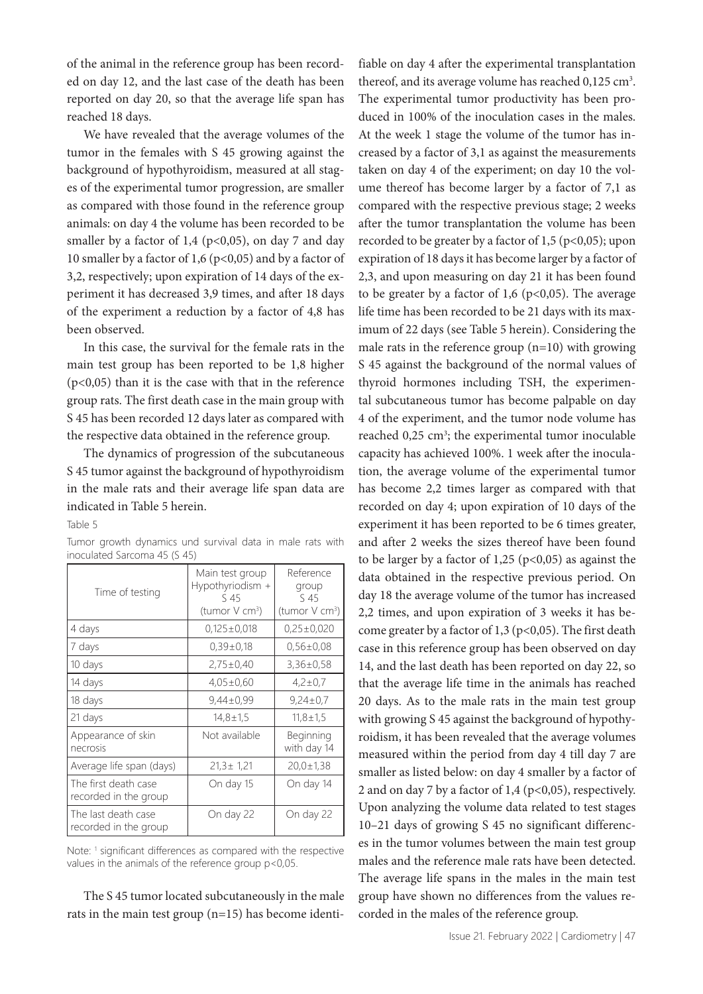of the animal in the reference group has been recorded on day 12, and the last case of the death has been reported on day 20, so that the average life span has reached 18 days.

We have revealed that the average volumes of the tumor in the females with S 45 growing against the background of hypothyroidism, measured at all stages of the experimental tumor progression, are smaller as compared with those found in the reference group animals: on day 4 the volume has been recorded to be smaller by a factor of  $1,4$  (p<0,05), on day 7 and day 10 smaller by a factor of 1,6 ( $p$ <0,05) and by a factor of 3,2, respectively; upon expiration of 14 days of the experiment it has decreased 3,9 times, and after 18 days of the experiment a reduction by a factor of 4,8 has been observed.

In this case, the survival for the female rats in the main test group has been reported to be 1,8 higher (p<0,05) than it is the case with that in the reference group rats. The first death case in the main group with S 45 has been recorded 12 days later as compared with the respective data obtained in the reference group.

The dynamics of progression of the subcutaneous S 45 tumor against the background of hypothyroidism in the male rats and their average life span data are indicated in Table 5 herein.

Table 5

|  | Tumor growth dynamics und survival data in male rats with |  |  |  |  |
|--|-----------------------------------------------------------|--|--|--|--|
|  | inoculated Sarcoma 45 (S 45)                              |  |  |  |  |

| Time of testing                               | Main test group<br>Hypothyriodism +<br>S 45<br>(tumor V cm <sup>3</sup> ) | Reference<br>group<br>S 45<br>(tumor V cm <sup>3</sup> ) |  |  |
|-----------------------------------------------|---------------------------------------------------------------------------|----------------------------------------------------------|--|--|
| 4 days                                        | $0.125 \pm 0.018$                                                         | $0.25 \pm 0.020$                                         |  |  |
| 7 days                                        | $0.39 \pm 0.18$                                                           | $0.56 \pm 0.08$                                          |  |  |
| 10 days                                       | $2,75\pm0,40$                                                             | $3,36\pm0.58$                                            |  |  |
| 14 days                                       | $4,05\pm0,60$                                                             | $4,2 \pm 0.7$                                            |  |  |
| 18 days                                       | $9,44\pm0.99$                                                             | $9,24\pm0.7$                                             |  |  |
| 21 days                                       | $14,8 \pm 1.5$                                                            | $11,8 \pm 1.5$                                           |  |  |
| Appearance of skin<br>necrosis                | Not available                                                             | Beginning<br>with day 14                                 |  |  |
| Average life span (days)                      | $21.3 \pm 1.21$                                                           | $20.0 \pm 1.38$                                          |  |  |
| The first death case<br>recorded in the group | On day 15                                                                 | On day 14                                                |  |  |
| The last death case<br>recorded in the group  | On day 22                                                                 | On day 22                                                |  |  |

Note: <sup>1</sup> significant differences as compared with the respective values in the animals of the reference group p<0,05.

The S 45 tumor located subcutaneously in the male rats in the main test group (n=15) has become identi-

fiable on day 4 after the experimental transplantation thereof, and its average volume has reached 0,125 cm<sup>3</sup>. The experimental tumor productivity has been produced in 100% of the inoculation cases in the males. At the week 1 stage the volume of the tumor has increased by a factor of 3,1 as against the measurements taken on day 4 of the experiment; on day 10 the volume thereof has become larger by a factor of 7,1 as compared with the respective previous stage; 2 weeks after the tumor transplantation the volume has been recorded to be greater by a factor of  $1,5$  ( $p<0,05$ ); upon expiration of 18 days it has become larger by a factor of 2,3, and upon measuring on day 21 it has been found to be greater by a factor of 1,6 ( $p<0,05$ ). The average life time has been recorded to be 21 days with its maximum of 22 days (see Table 5 herein). Considering the male rats in the reference group (n=10) with growing S 45 against the background of the normal values of thyroid hormones including TSH, the experimental subcutaneous tumor has become palpable on day 4 of the experiment, and the tumor node volume has reached 0,25 cm<sup>3</sup>; the experimental tumor inoculable capacity has achieved 100%. 1 week after the inoculation, the average volume of the experimental tumor has become 2,2 times larger as compared with that recorded on day 4; upon expiration of 10 days of the experiment it has been reported to be 6 times greater, and after 2 weeks the sizes thereof have been found to be larger by a factor of 1,25 ( $p<0,05$ ) as against the data obtained in the respective previous period. On day 18 the average volume of the tumor has increased 2,2 times, and upon expiration of 3 weeks it has become greater by a factor of  $1,3$  (p<0,05). The first death case in this reference group has been observed on day 14, and the last death has been reported on day 22, so that the average life time in the animals has reached 20 days. As to the male rats in the main test group with growing S 45 against the background of hypothyroidism, it has been revealed that the average volumes measured within the period from day 4 till day 7 are smaller as listed below: on day 4 smaller by a factor of 2 and on day 7 by a factor of 1,4 ( $p<0,05$ ), respectively. Upon analyzing the volume data related to test stages 10–21 days of growing S 45 no significant differences in the tumor volumes between the main test group males and the reference male rats have been detected. The average life spans in the males in the main test group have shown no differences from the values recorded in the males of the reference group.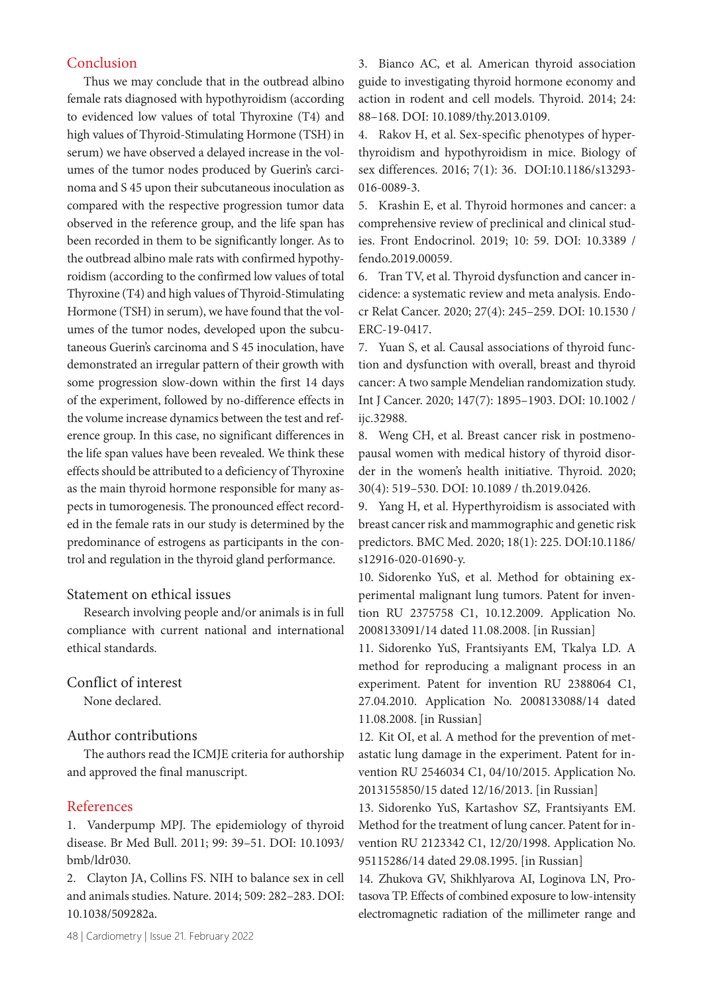# Conclusion

Thus we may conclude that in the outbread albino female rats diagnosed with hypothyroidism (according to evidenced low values of total Thyroxine (T4) and high values of Thyroid-Stimulating Hormone (TSH) in serum) we have observed a delayed increase in the volumes of the tumor nodes produced by Guerin's carcinoma and S 45 upon their subcutaneous inoculation as compared with the respective progression tumor data observed in the reference group, and the life span has been recorded in them to be significantly longer. As to the outbread albino male rats with confirmed hypothyroidism (according to the confirmed low values of total Thyroxine (T4) and high values of Thyroid-Stimulating Hormone (TSH) in serum), we have found that the volumes of the tumor nodes, developed upon the subcutaneous Guerin's carcinoma and S 45 inoculation, have demonstrated an irregular pattern of their growth with some progression slow-down within the first 14 days of the experiment, followed by no-difference effects in the volume increase dynamics between the test and reference group. In this case, no significant differences in the life span values have been revealed. We think these effects should be attributed to a deficiency of Thyroxine as the main thyroid hormone responsible for many aspects in tumorogenesis. The pronounced effect recorded in the female rats in our study is determined by the predominance of estrogens as participants in the control and regulation in the thyroid gland performance.

## Statement on ethical issues

Research involving people and/or animals is in full compliance with current national and international ethical standards.

Conflict of interest None declared.

## Author contributions

The authors read the ICMJE criteria for authorship and approved the final manuscript.

# References

1. Vanderpump MPJ. The epidemiology of thyroid disease. Br Med Bull. 2011; 99: 39–51. DOI: 10.1093/ bmb/ldr030.

2. Clayton JA, Collins FS. NIH to balance sex in cell and animals studies. Nature. 2014; 509: 282–283. DOI: 10.1038/509282a.

3. Bianco AC, et al. American thyroid association guide to investigating thyroid hormone economy and action in rodent and cell models. Thyroid. 2014; 24: 88–168. DOI: 10.1089/thy.2013.0109.

4. Rakov H, et al. Sex-specific phenotypes of hyperthyroidism and hypothyroidism in mice. Biology of sex differences. 2016; 7(1): 36. DOI:10.1186/s13293- 016-0089-3.

5. Krashin E, et al. Thyroid hormones and cancer: a comprehensive review of preclinical and clinical studies. Front Endocrinol. 2019; 10: 59. DOI: 10.3389 / fendo.2019.00059.

6. Tran TV, et al. Thyroid dysfunction and cancer incidence: a systematic review and meta analysis. Endocr Relat Cancer. 2020; 27(4): 245–259. DOI: 10.1530 / ERC-19-0417.

7. Yuan S, et al. Causal associations of thyroid function and dysfunction with overall, breast and thyroid cancer: A two sample Mendelian randomization study. Int J Cancer. 2020; 147(7): 1895–1903. DOI: 10.1002 / ijc.32988.

8. Weng CH, et al. Breast cancer risk in postmenopausal women with medical history of thyroid disorder in the women's health initiative. Thyroid. 2020; 30(4): 519–530. DOI: 10.1089 / th.2019.0426.

9. Yang H, et al. Hyperthyroidism is associated with breast cancer risk and mammographic and genetic risk predictors. BMC Med. 2020; 18(1): 225. DOI:10.1186/ s12916-020-01690-y.

10. Sidorenko YuS, et al. Method for obtaining experimental malignant lung tumors. Patent for invention RU 2375758 C1, 10.12.2009. Application No. 2008133091/14 dated 11.08.2008. [in Russian]

11. Sidorenko YuS, Frantsiyants EM, Tkalya LD. A method for reproducing a malignant process in an experiment. Patent for invention RU 2388064 C1, 27.04.2010. Application No. 2008133088/14 dated 11.08.2008. [in Russian]

12. Kit OI, et al. A method for the prevention of metastatic lung damage in the experiment. Patent for invention RU 2546034 C1, 04/10/2015. Application No. 2013155850/15 dated 12/16/2013. [in Russian]

13. Sidorenko YuS, Kartashov SZ, Frantsiyants EM. Method for the treatment of lung cancer. Patent for invention RU 2123342 C1, 12/20/1998. Application No. 95115286/14 dated 29.08.1995. [in Russian]

14. Zhukova GV, Shikhlyarova AI, Loginova LN, Protasova TP. Effects of combined exposure to low-intensity electromagnetic radiation of the millimeter range and